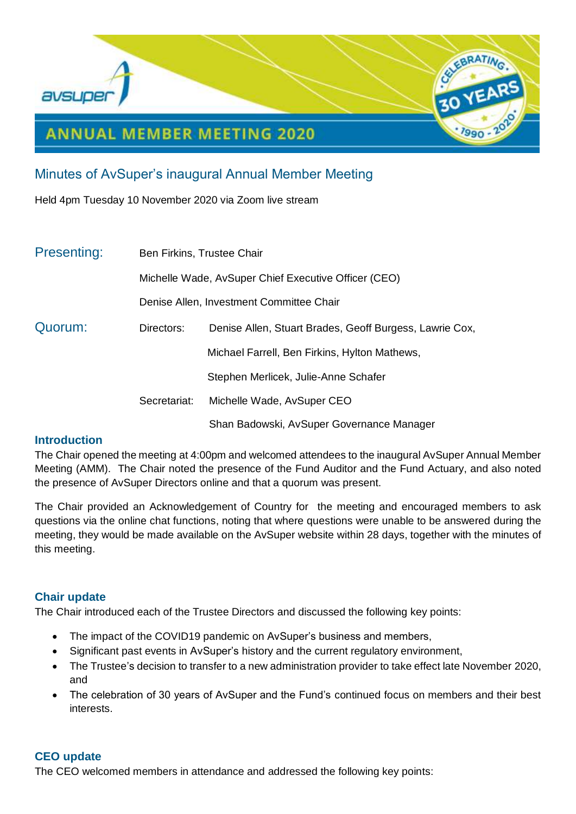

# Minutes of AvSuper's inaugural Annual Member Meeting

Held 4pm Tuesday 10 November 2020 via Zoom live stream

| <b>Presenting:</b> | Ben Firkins, Trustee Chair                           |                                                         |
|--------------------|------------------------------------------------------|---------------------------------------------------------|
|                    | Michelle Wade, AvSuper Chief Executive Officer (CEO) |                                                         |
|                    | Denise Allen, Investment Committee Chair             |                                                         |
| Quorum:            | Directors:                                           | Denise Allen, Stuart Brades, Geoff Burgess, Lawrie Cox, |
|                    |                                                      | Michael Farrell, Ben Firkins, Hylton Mathews,           |
|                    |                                                      | Stephen Merlicek, Julie-Anne Schafer                    |
|                    | Secretariat:                                         | Michelle Wade, AvSuper CEO                              |
|                    |                                                      | Shan Badowski, AvSuper Governance Manager               |

# **Introduction**

The Chair opened the meeting at 4:00pm and welcomed attendees to the inaugural AvSuper Annual Member Meeting (AMM). The Chair noted the presence of the Fund Auditor and the Fund Actuary, and also noted the presence of AvSuper Directors online and that a quorum was present.

The Chair provided an Acknowledgement of Country for the meeting and encouraged members to ask questions via the online chat functions, noting that where questions were unable to be answered during the meeting, they would be made available on the AvSuper website within 28 days, together with the minutes of this meeting.

# **Chair update**

The Chair introduced each of the Trustee Directors and discussed the following key points:

- The impact of the COVID19 pandemic on AvSuper's business and members,
- Significant past events in AvSuper's history and the current regulatory environment,
- The Trustee's decision to transfer to a new administration provider to take effect late November 2020, and
- The celebration of 30 years of AvSuper and the Fund's continued focus on members and their best interests.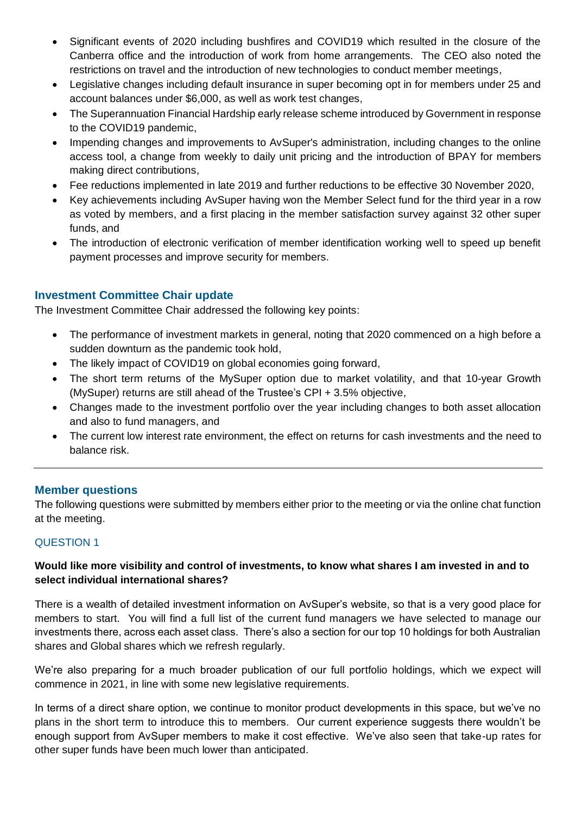- Significant events of 2020 including bushfires and COVID19 which resulted in the closure of the Canberra office and the introduction of work from home arrangements. The CEO also noted the restrictions on travel and the introduction of new technologies to conduct member meetings,
- Legislative changes including default insurance in super becoming opt in for members under 25 and account balances under \$6,000, as well as work test changes,
- The Superannuation Financial Hardship early release scheme introduced by Government in response to the COVID19 pandemic,
- Impending changes and improvements to AvSuper's administration, including changes to the online access tool, a change from weekly to daily unit pricing and the introduction of BPAY for members making direct contributions,
- Fee reductions implemented in late 2019 and further reductions to be effective 30 November 2020,
- Key achievements including AvSuper having won the Member Select fund for the third year in a row as voted by members, and a first placing in the member satisfaction survey against 32 other super funds, and
- The introduction of electronic verification of member identification working well to speed up benefit payment processes and improve security for members.

# **Investment Committee Chair update**

The Investment Committee Chair addressed the following key points:

- The performance of investment markets in general, noting that 2020 commenced on a high before a sudden downturn as the pandemic took hold,
- The likely impact of COVID19 on global economies going forward,
- The short term returns of the MySuper option due to market volatility, and that 10-year Growth (MySuper) returns are still ahead of the Trustee's CPI + 3.5% objective,
- Changes made to the investment portfolio over the year including changes to both asset allocation and also to fund managers, and
- The current low interest rate environment, the effect on returns for cash investments and the need to balance risk.

# **Member questions**

The following questions were submitted by members either prior to the meeting or via the online chat function at the meeting.

# QUESTION 1

# **Would like more visibility and control of investments, to know what shares I am invested in and to select individual international shares?**

There is a wealth of detailed investment information on AvSuper's website, so that is a very good place for members to start. You will find a full list of the current fund managers we have selected to manage our investments there, across each asset class. There's also a section for our top 10 holdings for both Australian shares and Global shares which we refresh regularly.

We're also preparing for a much broader publication of our full portfolio holdings, which we expect will commence in 2021, in line with some new legislative requirements.

In terms of a direct share option, we continue to monitor product developments in this space, but we've no plans in the short term to introduce this to members. Our current experience suggests there wouldn't be enough support from AvSuper members to make it cost effective. We've also seen that take-up rates for other super funds have been much lower than anticipated.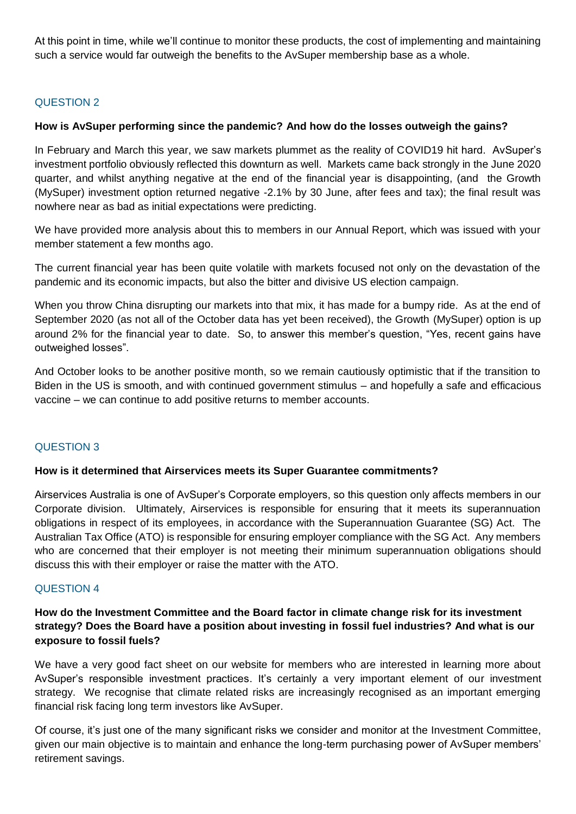At this point in time, while we'll continue to monitor these products, the cost of implementing and maintaining such a service would far outweigh the benefits to the AvSuper membership base as a whole.

# QUESTION 2

## **How is AvSuper performing since the pandemic? And how do the losses outweigh the gains?**

In February and March this year, we saw markets plummet as the reality of COVID19 hit hard. AvSuper's investment portfolio obviously reflected this downturn as well. Markets came back strongly in the June 2020 quarter, and whilst anything negative at the end of the financial year is disappointing, (and the Growth (MySuper) investment option returned negative -2.1% by 30 June, after fees and tax); the final result was nowhere near as bad as initial expectations were predicting.

We have provided more analysis about this to members in our Annual Report, which was issued with your member statement a few months ago.

The current financial year has been quite volatile with markets focused not only on the devastation of the pandemic and its economic impacts, but also the bitter and divisive US election campaign.

When you throw China disrupting our markets into that mix, it has made for a bumpy ride. As at the end of September 2020 (as not all of the October data has yet been received), the Growth (MySuper) option is up around 2% for the financial year to date. So, to answer this member's question, "Yes, recent gains have outweighed losses".

And October looks to be another positive month, so we remain cautiously optimistic that if the transition to Biden in the US is smooth, and with continued government stimulus – and hopefully a safe and efficacious vaccine – we can continue to add positive returns to member accounts.

## QUESTION 3

## **How is it determined that Airservices meets its Super Guarantee commitments?**

Airservices Australia is one of AvSuper's Corporate employers, so this question only affects members in our Corporate division. Ultimately, Airservices is responsible for ensuring that it meets its superannuation obligations in respect of its employees, in accordance with the Superannuation Guarantee (SG) Act. The Australian Tax Office (ATO) is responsible for ensuring employer compliance with the SG Act. Any members who are concerned that their employer is not meeting their minimum superannuation obligations should discuss this with their employer or raise the matter with the ATO.

## QUESTION 4

# **How do the Investment Committee and the Board factor in climate change risk for its investment strategy? Does the Board have a position about investing in fossil fuel industries? And what is our exposure to fossil fuels?**

We have a very good fact sheet on our website for members who are interested in learning more about AvSuper's responsible investment practices. It's certainly a very important element of our investment strategy. We recognise that climate related risks are increasingly recognised as an important emerging financial risk facing long term investors like AvSuper.

Of course, it's just one of the many significant risks we consider and monitor at the Investment Committee, given our main objective is to maintain and enhance the long-term purchasing power of AvSuper members' retirement savings.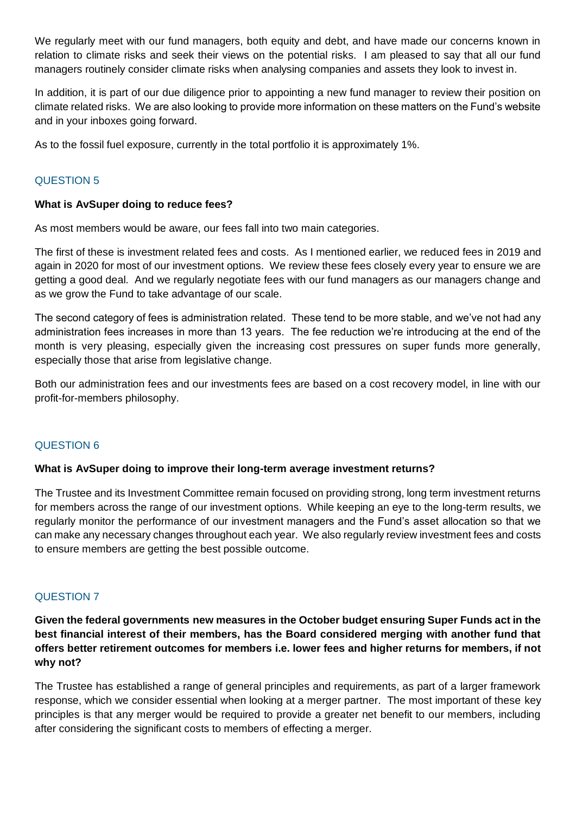We regularly meet with our fund managers, both equity and debt, and have made our concerns known in relation to climate risks and seek their views on the potential risks. I am pleased to say that all our fund managers routinely consider climate risks when analysing companies and assets they look to invest in.

In addition, it is part of our due diligence prior to appointing a new fund manager to review their position on climate related risks. We are also looking to provide more information on these matters on the Fund's website and in your inboxes going forward.

As to the fossil fuel exposure, currently in the total portfolio it is approximately 1%.

# QUESTION 5

## **What is AvSuper doing to reduce fees?**

As most members would be aware, our fees fall into two main categories.

The first of these is investment related fees and costs. As I mentioned earlier, we reduced fees in 2019 and again in 2020 for most of our investment options. We review these fees closely every year to ensure we are getting a good deal. And we regularly negotiate fees with our fund managers as our managers change and as we grow the Fund to take advantage of our scale.

The second category of fees is administration related. These tend to be more stable, and we've not had any administration fees increases in more than 13 years. The fee reduction we're introducing at the end of the month is very pleasing, especially given the increasing cost pressures on super funds more generally, especially those that arise from legislative change.

Both our administration fees and our investments fees are based on a cost recovery model, in line with our profit-for-members philosophy.

# QUESTION 6

## **What is AvSuper doing to improve their long-term average investment returns?**

The Trustee and its Investment Committee remain focused on providing strong, long term investment returns for members across the range of our investment options. While keeping an eye to the long-term results, we regularly monitor the performance of our investment managers and the Fund's asset allocation so that we can make any necessary changes throughout each year. We also regularly review investment fees and costs to ensure members are getting the best possible outcome.

# QUESTION 7

**Given the federal governments new measures in the October budget ensuring Super Funds act in the best financial interest of their members, has the Board considered merging with another fund that offers better retirement outcomes for members i.e. lower fees and higher returns for members, if not why not?**

The Trustee has established a range of general principles and requirements, as part of a larger framework response, which we consider essential when looking at a merger partner. The most important of these key principles is that any merger would be required to provide a greater net benefit to our members, including after considering the significant costs to members of effecting a merger.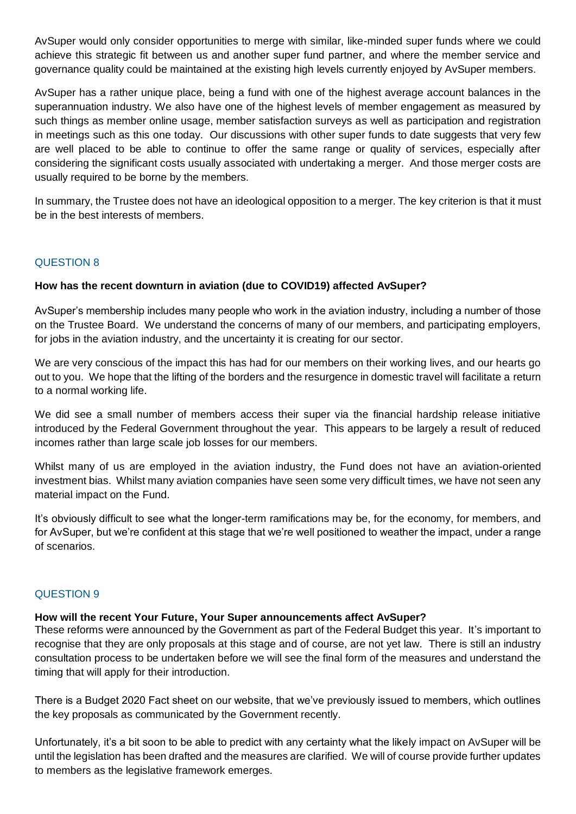AvSuper would only consider opportunities to merge with similar, like-minded super funds where we could achieve this strategic fit between us and another super fund partner, and where the member service and governance quality could be maintained at the existing high levels currently enjoyed by AvSuper members.

AvSuper has a rather unique place, being a fund with one of the highest average account balances in the superannuation industry. We also have one of the highest levels of member engagement as measured by such things as member online usage, member satisfaction surveys as well as participation and registration in meetings such as this one today. Our discussions with other super funds to date suggests that very few are well placed to be able to continue to offer the same range or quality of services, especially after considering the significant costs usually associated with undertaking a merger. And those merger costs are usually required to be borne by the members.

In summary, the Trustee does not have an ideological opposition to a merger. The key criterion is that it must be in the best interests of members.

## QUESTION 8

## **How has the recent downturn in aviation (due to COVID19) affected AvSuper?**

AvSuper's membership includes many people who work in the aviation industry, including a number of those on the Trustee Board. We understand the concerns of many of our members, and participating employers, for jobs in the aviation industry, and the uncertainty it is creating for our sector.

We are very conscious of the impact this has had for our members on their working lives, and our hearts go out to you. We hope that the lifting of the borders and the resurgence in domestic travel will facilitate a return to a normal working life.

We did see a small number of members access their super via the financial hardship release initiative introduced by the Federal Government throughout the year. This appears to be largely a result of reduced incomes rather than large scale job losses for our members.

Whilst many of us are employed in the aviation industry, the Fund does not have an aviation-oriented investment bias. Whilst many aviation companies have seen some very difficult times, we have not seen any material impact on the Fund.

It's obviously difficult to see what the longer-term ramifications may be, for the economy, for members, and for AvSuper, but we're confident at this stage that we're well positioned to weather the impact, under a range of scenarios.

## QUESTION 9

## **How will the recent Your Future, Your Super announcements affect AvSuper?**

These reforms were announced by the Government as part of the Federal Budget this year. It's important to recognise that they are only proposals at this stage and of course, are not yet law. There is still an industry consultation process to be undertaken before we will see the final form of the measures and understand the timing that will apply for their introduction.

There is a Budget 2020 Fact sheet on our website, that we've previously issued to members, which outlines the key proposals as communicated by the Government recently.

Unfortunately, it's a bit soon to be able to predict with any certainty what the likely impact on AvSuper will be until the legislation has been drafted and the measures are clarified. We will of course provide further updates to members as the legislative framework emerges.